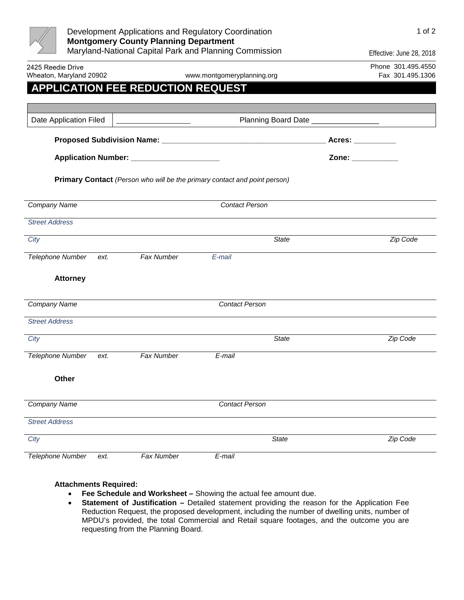| Development Applications and Regulatory Coordination<br><b>Montgomery County Planning Department</b> |                                                                                                                                                                                                                                      |                                                                                                                                                                                                                                |                                       | 1 of 2                                 |  |
|------------------------------------------------------------------------------------------------------|--------------------------------------------------------------------------------------------------------------------------------------------------------------------------------------------------------------------------------------|--------------------------------------------------------------------------------------------------------------------------------------------------------------------------------------------------------------------------------|---------------------------------------|----------------------------------------|--|
|                                                                                                      |                                                                                                                                                                                                                                      | Maryland-National Capital Park and Planning Commission                                                                                                                                                                         |                                       | Effective: June 28, 2018               |  |
| 2425 Reedie Drive<br>Wheaton, Maryland 20902                                                         |                                                                                                                                                                                                                                      | www.montgomeryplanning.org                                                                                                                                                                                                     |                                       | Phone 301.495.4550<br>Fax 301.495.1306 |  |
| <b>APPLICATION FEE REDUCTION REQUEST</b>                                                             |                                                                                                                                                                                                                                      |                                                                                                                                                                                                                                |                                       |                                        |  |
| Date Application Filed                                                                               | <u> 1989 - Johann Harry Harry Harry Harry Harry Harry Harry Harry Harry Harry Harry Harry Harry Harry Harry Harry Harry Harry Harry Harry Harry Harry Harry Harry Harry Harry Harry Harry Harry Harry Harry Harry Harry Harry Ha</u> |                                                                                                                                                                                                                                | Planning Board Date _________________ |                                        |  |
|                                                                                                      |                                                                                                                                                                                                                                      |                                                                                                                                                                                                                                | Acres: __________                     |                                        |  |
|                                                                                                      |                                                                                                                                                                                                                                      | Zone: when the control of the control of the control of the control of the control of the control of the control of the control of the control of the control of the control of the control of the control of the control of t |                                       |                                        |  |
| <b>Primary Contact</b> (Person who will be the primary contact and point person)                     |                                                                                                                                                                                                                                      |                                                                                                                                                                                                                                |                                       |                                        |  |
| Company Name                                                                                         |                                                                                                                                                                                                                                      | <b>Contact Person</b>                                                                                                                                                                                                          |                                       |                                        |  |
| <b>Street Address</b>                                                                                |                                                                                                                                                                                                                                      |                                                                                                                                                                                                                                |                                       |                                        |  |
| City                                                                                                 |                                                                                                                                                                                                                                      |                                                                                                                                                                                                                                | <b>State</b>                          | Zip Code                               |  |
| <b>Telephone Number</b><br>ext.                                                                      | Fax Number                                                                                                                                                                                                                           | E-mail                                                                                                                                                                                                                         |                                       |                                        |  |
| <b>Attorney</b>                                                                                      |                                                                                                                                                                                                                                      |                                                                                                                                                                                                                                |                                       |                                        |  |
| Company Name                                                                                         |                                                                                                                                                                                                                                      | <b>Contact Person</b>                                                                                                                                                                                                          |                                       |                                        |  |
| <b>Street Address</b>                                                                                |                                                                                                                                                                                                                                      |                                                                                                                                                                                                                                |                                       |                                        |  |
| City                                                                                                 |                                                                                                                                                                                                                                      |                                                                                                                                                                                                                                | <b>State</b>                          | Zip Code                               |  |
| <b>Telephone Number</b><br>ext.                                                                      | <b>Fax Number</b>                                                                                                                                                                                                                    | E-mail                                                                                                                                                                                                                         |                                       |                                        |  |
| Other                                                                                                |                                                                                                                                                                                                                                      |                                                                                                                                                                                                                                |                                       |                                        |  |
| <b>Company Name</b>                                                                                  |                                                                                                                                                                                                                                      | <b>Contact Person</b>                                                                                                                                                                                                          |                                       |                                        |  |
| <b>Street Address</b>                                                                                |                                                                                                                                                                                                                                      |                                                                                                                                                                                                                                |                                       |                                        |  |
| City                                                                                                 |                                                                                                                                                                                                                                      |                                                                                                                                                                                                                                | State                                 | Zip Code                               |  |
| <b>Telephone Number</b><br>ext.                                                                      | Fax Number                                                                                                                                                                                                                           | E-mail                                                                                                                                                                                                                         |                                       |                                        |  |

## **Attachments Required:**

- **Fee Schedule and Worksheet** Showing the actual fee amount due.
- **Statement of Justification** Detailed statement providing the reason for the Application Fee Reduction Request, the proposed development, including the number of dwelling units, number of MPDU's provided, the total Commercial and Retail square footages, and the outcome you are requesting from the Planning Board.